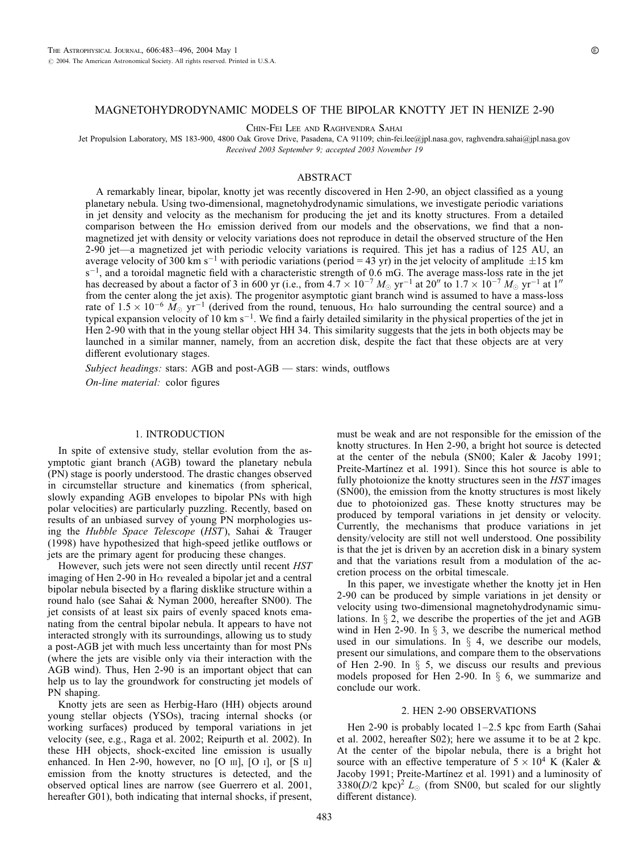# MAGNETOHYDRODYNAMIC MODELS OF THE BIPOLAR KNOTTY JET IN HENIZE 2-90

Chin-Fei Lee and Raghvendra Sahai

Jet Propulsion Laboratory, MS 183-900, 4800 Oak Grove Drive, Pasadena, CA 91109; chin-fei.lee@jpl.nasa.gov, raghvendra.sahai@jpl.nasa.gov Received 2003 September 9; accepted 2003 November 19

# ABSTRACT

A remarkably linear, bipolar, knotty jet was recently discovered in Hen 2-90, an object classified as a young planetary nebula. Using two-dimensional, magnetohydrodynamic simulations, we investigate periodic variations in jet density and velocity as the mechanism for producing the jet and its knotty structures. From a detailed comparison between the H $\alpha$  emission derived from our models and the observations, we find that a nonmagnetized jet with density or velocity variations does not reproduce in detail the observed structure of the Hen 2-90 jet—a magnetized jet with periodic velocity variations is required. This jet has a radius of 125 AU, an average velocity of 300 km s<sup>-1</sup> with periodic variations (period = 43 yr) in the jet velocity of amplitude  $\pm 15$  km  $s^{-1}$ , and a toroidal magnetic field with a characteristic strength of 0.6 mG. The average mass-loss rate in the jet has decreased by about a factor of 3 in 600 yr (i.e., from  $4.7 \times 10^{-7}$   $M_{\odot}$  yr<sup>-1</sup> at 20<sup>n</sup> to 1.7  $\times$  10<sup>-7</sup>  $M_{\odot}$  yr<sup>-1</sup> at 1<sup>n</sup> from the center along the jet axis). The progenitor asymptotic giant branch wind is assumed to have a mass-loss rate of  $1.5 \times 10^{-6}$   $M_{\odot}$  yr<sup>-1</sup> (derived from the round, tenuous, H $\alpha$  halo surrounding the central source) and a typical expansion velocity of 10 km  $s^{-1}$ . We find a fairly detailed similarity in the physical properties of the jet in Hen 2-90 with that in the young stellar object HH 34. This similarity suggests that the jets in both objects may be launched in a similar manner, namely, from an accretion disk, despite the fact that these objects are at very different evolutionary stages.

Subject headings: stars: AGB and post-AGB — stars: winds, outflows

On-line material: color figures

# 1. INTRODUCTION

In spite of extensive study, stellar evolution from the asymptotic giant branch (AGB) toward the planetary nebula (PN) stage is poorly understood. The drastic changes observed in circumstellar structure and kinematics (from spherical, slowly expanding AGB envelopes to bipolar PNs with high polar velocities) are particularly puzzling. Recently, based on results of an unbiased survey of young PN morphologies using the Hubble Space Telescope (HST), Sahai & Trauger (1998) have hypothesized that high-speed jetlike outflows or jets are the primary agent for producing these changes.

However, such jets were not seen directly until recent HST imaging of Hen 2-90 in H $\alpha$  revealed a bipolar jet and a central bipolar nebula bisected by a flaring disklike structure within a round halo (see Sahai & Nyman 2000, hereafter SN00). The jet consists of at least six pairs of evenly spaced knots emanating from the central bipolar nebula. It appears to have not interacted strongly with its surroundings, allowing us to study a post-AGB jet with much less uncertainty than for most PNs (where the jets are visible only via their interaction with the AGB wind). Thus, Hen 2-90 is an important object that can help us to lay the groundwork for constructing jet models of PN shaping.

Knotty jets are seen as Herbig-Haro (HH) objects around young stellar objects (YSOs), tracing internal shocks (or working surfaces) produced by temporal variations in jet velocity (see, e.g., Raga et al. 2002; Reipurth et al. 2002). In these HH objects, shock-excited line emission is usually enhanced. In Hen 2-90, however, no [O  $\text{III}$ ], [O  $\text{I}$ ], or [S  $\text{II}$ ] emission from the knotty structures is detected, and the observed optical lines are narrow (see Guerrero et al. 2001, hereafter G01), both indicating that internal shocks, if present,

must be weak and are not responsible for the emission of the knotty structures. In Hen 2-90, a bright hot source is detected at the center of the nebula (SN00; Kaler & Jacoby 1991; Preite-Martinez et al. 1991). Since this hot source is able to fully photoionize the knotty structures seen in the HST images (SN00), the emission from the knotty structures is most likely due to photoionized gas. These knotty structures may be produced by temporal variations in jet density or velocity. Currently, the mechanisms that produce variations in jet density/velocity are still not well understood. One possibility is that the jet is driven by an accretion disk in a binary system and that the variations result from a modulation of the accretion process on the orbital timescale.

In this paper, we investigate whether the knotty jet in Hen 2-90 can be produced by simple variations in jet density or velocity using two-dimensional magnetohydrodynamic simulations. In  $\S$  2, we describe the properties of the jet and AGB wind in Hen 2-90. In  $\S$  3, we describe the numerical method used in our simulations. In  $\S$  4, we describe our models, present our simulations, and compare them to the observations of Hen 2-90. In  $\S$  5, we discuss our results and previous models proposed for Hen 2-90. In  $\S$  6, we summarize and conclude our work.

# 2. HEN 2-90 OBSERVATIONS

Hen 2-90 is probably located 1–2.5 kpc from Earth (Sahai et al. 2002, hereafter S02); here we assume it to be at 2 kpc. At the center of the bipolar nebula, there is a bright hot source with an effective temperature of  $5 \times 10^4$  K (Kaler & Jacoby 1991; Preite-Martínez et al. 1991) and a luminosity of 3380( $D/2$  kpc)<sup>2</sup>  $L_{\odot}$  (from SN00, but scaled for our slightly different distance).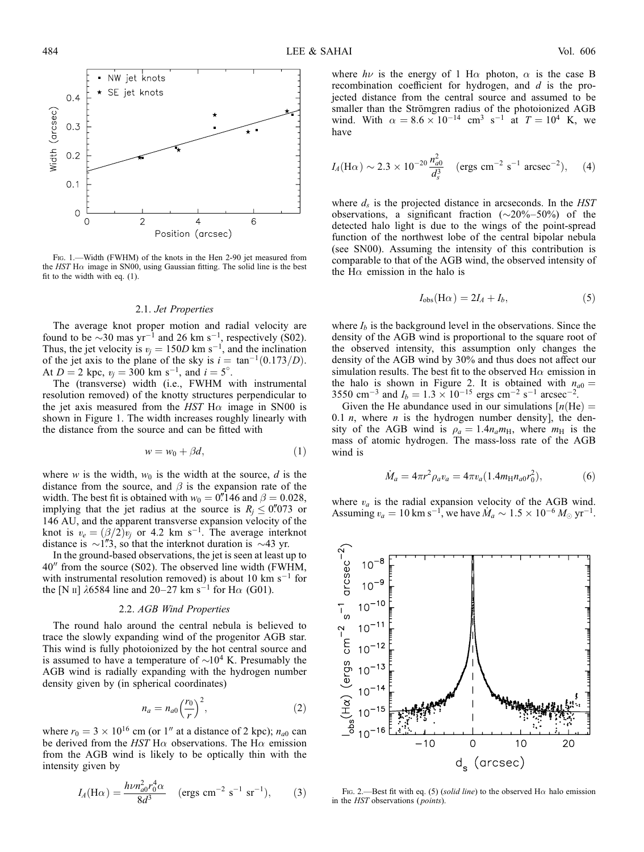

FIG. 1.—Width (FWHM) of the knots in the Hen 2-90 jet measured from the HST H $\alpha$  image in SN00, using Gaussian fitting. The solid line is the best fit to the width with eq. (1).

### 2.1. Jet Properties

The average knot proper motion and radial velocity are found to be  $\sim$ 30 mas yr<sup>-1</sup> and 26 km s<sup>-1</sup>, respectively (S02). Thus, the jet velocity is  $v_j = 150D \text{ km s}^{-1}$ , and the inclination of the jet axis to the plane of the sky is  $i = \tan^{-1}(0.173/D)$ . At  $D = 2$  kpc,  $v_j = 300$  km s<sup>-1</sup>, and  $i = 5^\circ$ .

The (transverse) width (i.e., FWHM with instrumental resolution removed) of the knotty structures perpendicular to the jet axis measured from the HST H $\alpha$  image in SN00 is shown in Figure 1. The width increases roughly linearly with the distance from the source and can be fitted with

$$
w = w_0 + \beta d,\tag{1}
$$

where w is the width,  $w_0$  is the width at the source, d is the distance from the source, and  $\beta$  is the expansion rate of the width. The best fit is obtained with  $w_0 = 0$ . 146 and  $\beta = 0.028$ , implying that the jet radius at the source is  $R_i \leq 0.073$  or 146 AU, and the apparent transverse expansion velocity of the knot is  $v_e = (\beta/2)v_j$  or 4.2 km s<sup>-1</sup>. The average interknot distance is  $\sim$ 1"3, so that the interknot duration is  $\sim$ 43 yr.

In the ground-based observations, the jet is seen at least up to  $40''$  from the source (S02). The observed line width (FWHM, with instrumental resolution removed) is about 10 km  $s^{-1}$  for the [N II]  $\lambda$ 6584 line and 20–27 km s<sup>-1</sup> for H $\alpha$  (G01).

# 2.2. AGB Wind Properties

The round halo around the central nebula is believed to trace the slowly expanding wind of the progenitor AGB star. This wind is fully photoionized by the hot central source and is assumed to have a temperature of  $\sim 10^4$  K. Presumably the AGB wind is radially expanding with the hydrogen number density given by (in spherical coordinates)

$$
n_a = n_{a0} \left(\frac{r_0}{r}\right)^2,\tag{2}
$$

where  $r_0 = 3 \times 10^{16}$  cm (or 1" at a distance of 2 kpc);  $n_{a0}$  can be derived from the HST H $\alpha$  observations. The H $\alpha$  emission from the AGB wind is likely to be optically thin with the intensity given by

$$
I_A(\text{H}\alpha) = \frac{h\nu n_{a0}^2 r_0^4 \alpha}{8d^3} \quad \text{(ergs cm}^{-2} \text{ s}^{-1} \text{ sr}^{-1}\text{)}, \qquad (3)
$$

where  $h\nu$  is the energy of 1 H $\alpha$  photon,  $\alpha$  is the case B recombination coefficient for hydrogen, and d is the projected distance from the central source and assumed to be smaller than the Strömgren radius of the photoionized AGB wind. With  $\alpha = 8.6 \times 10^{-14}$  cm<sup>3</sup> s<sup>-1</sup> at  $T = 10^4$  K, we have

$$
I_A(\text{H}\alpha) \sim 2.3 \times 10^{-20} \frac{n_{a0}^2}{d_s^3}
$$
 (ergs cm<sup>-2</sup> s<sup>-1</sup> arcsec<sup>-2</sup>), (4)

where  $d_s$  is the projected distance in arcseconds. In the  $HST$ observations, a significant fraction  $(\sim 20\% - 50\%)$  of the detected halo light is due to the wings of the point-spread function of the northwest lobe of the central bipolar nebula (see SN00). Assuming the intensity of this contribution is comparable to that of the AGB wind, the observed intensity of the H $\alpha$  emission in the halo is

$$
I_{\text{obs}}(\text{H}\alpha) = 2I_A + I_b,\tag{5}
$$

where  $I_b$  is the background level in the observations. Since the density of the AGB wind is proportional to the square root of the observed intensity, this assumption only changes the density of the AGB wind by 30% and thus does not affect our simulation results. The best fit to the observed  $H\alpha$  emission in the halo is shown in Figure 2. It is obtained with  $n_{a0} =$ 3550 cm<sup>-3</sup> and  $I_b = 1.3 \times 10^{-15}$  ergs cm<sup>-2</sup> s<sup>-1</sup> arcsec<sup>-2</sup>.

Given the He abundance used in our simulations  $[n(He) =$ 0.1 *n*, where *n* is the hydrogen number density], the density of the AGB wind is  $\rho_a = 1.4 n_a m_H$ , where  $m_H$  is the mass of atomic hydrogen. The mass-loss rate of the AGB wind is

$$
\dot{M}_a = 4\pi r^2 \rho_a v_a = 4\pi v_a (1.4m_H n_{a0} r_0^2),\tag{6}
$$

where  $v_a$  is the radial expansion velocity of the AGB wind. Assuming  $v_a = 10 \text{ km s}^{-1}$ , we have  $M_a \sim 1.5 \times 10^{-6} M_{\odot} \text{ yr}^{-1}$ .



Fig. 2.—Best fit with eq. (5) (solid line) to the observed H $\alpha$  halo emission in the HST observations ( points).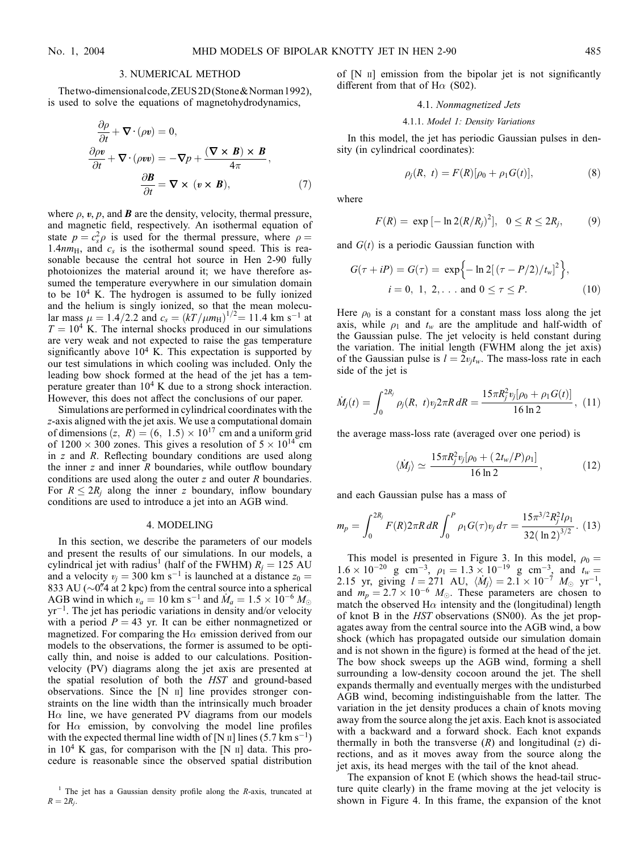$\sim$ 

### 3. NUMERICAL METHOD

Thetwo-dimensionalcode, ZEUS2D (Stone & Norman 1992), is used to solve the equations of magnetohydrodynamics,

$$
\frac{\partial \rho}{\partial t} + \nabla \cdot (\rho v) = 0,
$$
  
\n
$$
\frac{\partial \rho v}{\partial t} + \nabla \cdot (\rho v v) = -\nabla p + \frac{(\nabla \times \mathbf{B}) \times \mathbf{B}}{4\pi},
$$
  
\n
$$
\frac{\partial \mathbf{B}}{\partial t} = \nabla \times (v \times \mathbf{B}),
$$
\n(7)

where  $\rho$ ,  $v$ ,  $p$ , and **B** are the density, velocity, thermal pressure, and magnetic field, respectively. An isothermal equation of state  $p = c_s^2 \rho$  is used for the thermal pressure, where  $\rho =$ 1.4 $nm_H$ , and  $c_s$  is the isothermal sound speed. This is reasonable because the central hot source in Hen 2-90 fully photoionizes the material around it; we have therefore assumed the temperature everywhere in our simulation domain to be  $10<sup>4</sup>$  K. The hydrogen is assumed to be fully ionized and the helium is singly ionized, so that the mean molecular mass  $\mu = 1.4/2.2$  and  $c_s = (kT/\mu m_H)^{1/2} = 11.4$  km s<sup>-1</sup> at  $T = 10<sup>4</sup>$  K. The internal shocks produced in our simulations are very weak and not expected to raise the gas temperature significantly above  $10^4$  K. This expectation is supported by our test simulations in which cooling was included. Only the leading bow shock formed at the head of the jet has a temperature greater than  $10^4$  K due to a strong shock interaction. However, this does not affect the conclusions of our paper.

Simulations are performed in cylindrical coordinates with the z-axis aligned with the jet axis. We use a computational domain of dimensions  $(z, R) = (6, 1.5) \times 10^{17}$  cm and a uniform grid of  $1200 \times 300$  zones. This gives a resolution of  $5 \times 10^{14}$  cm in z and R. Reflecting boundary conditions are used along the inner  $z$  and inner  $R$  boundaries, while outflow boundary conditions are used along the outer z and outer R boundaries. For  $R \leq 2R_i$  along the inner z boundary, inflow boundary conditions are used to introduce a jet into an AGB wind.

## 4. MODELING

In this section, we describe the parameters of our models and present the results of our simulations. In our models, a cylindrical jet with radius<sup>1</sup> (half of the FWHM)  $R_i = 125 \text{ AU}$ and a velocity  $v_i = 300 \text{ km s}^{-1}$  is launched at a distance  $z_0 =$ 833 AU ( $\sim$ 0".4 at 2 kpc) from the central source into a spherical AGB wind in which  $v_a = 10$  km s<sup>-1</sup> and  $\dot{M}_a = 1.5 \times 10^{-6}$   $M_{\odot}$  $yr^{-1}$ . The jet has periodic variations in density and/or velocity with a period  $P = 43$  yr. It can be either nonmagnetized or magnetized. For comparing the H $\alpha$  emission derived from our models to the observations, the former is assumed to be optically thin, and noise is added to our calculations. Positionvelocity (PV) diagrams along the jet axis are presented at the spatial resolution of both the HST and ground-based observations. Since the  $[N]$  ii line provides stronger constraints on the line width than the intrinsically much broader  $H\alpha$  line, we have generated PV diagrams from our models for H $\alpha$  emission, by convolving the model line profiles with the expected thermal line width of [N  $\text{II}$ ] lines (5.7 km s<sup>-1</sup>) in  $10<sup>4</sup>$  K gas, for comparison with the [N  $\scriptstyle\rm II$ ] data. This procedure is reasonable since the observed spatial distribution of  $[N]$   $\Box$  emission from the bipolar jet is not significantly different from that of  $H\alpha$  (S02).

# 4.1. Nonmagnetized Jets

## 4.1.1. Model 1: Density Variations

In this model, the jet has periodic Gaussian pulses in density (in cylindrical coordinates):

$$
\rho_j(R, t) = F(R)[\rho_0 + \rho_1 G(t)], \tag{8}
$$

where

$$
F(R) = \exp[-\ln 2(R/R_j)^2], \ \ 0 \le R \le 2R_j, \qquad (9)
$$

and  $G(t)$  is a periodic Gaussian function with

$$
G(\tau + iP) = G(\tau) = \exp\{-\ln 2[(\tau - P/2)/t_w]^2\},
$$
  
 $i = 0, 1, 2, ...$  and  $0 \le \tau \le P.$  (10)

Here  $\rho_0$  is a constant for a constant mass loss along the jet axis, while  $\rho_1$  and  $t_w$  are the amplitude and half-width of the Gaussian pulse. The jet velocity is held constant during the variation. The initial length (FWHM along the jet axis) of the Gaussian pulse is  $l = 2v_jt_w$ . The mass-loss rate in each side of the jet is

$$
\dot{M}_j(t) = \int_0^{2R_j} \rho_j(R, t) v_j 2\pi R \, dR = \frac{15\pi R_j^2 v_j[\rho_0 + \rho_1 G(t)]}{16 \ln 2}, \tag{11}
$$

the average mass-loss rate (averaged over one period) is

$$
\langle \dot{M}_j \rangle \simeq \frac{15\pi R_j^2 v_j [\rho_0 + (2t_w/P)\rho_1]}{16 \ln 2}, \qquad (12)
$$

and each Gaussian pulse has a mass of

$$
m_p = \int_0^{2R_j} F(R) 2\pi R \, dR \int_0^P \rho_1 G(\tau) v_j \, d\tau = \frac{15\pi^{3/2} R_j^2 l \rho_1}{32 (\ln 2)^{3/2}}. \tag{13}
$$

This model is presented in Figure 3. In this model,  $\rho_0 =$  $1.6 \times 10^{-20}$  g cm<sup>-3</sup>,  $\rho_1 = 1.3 \times 10^{-19}$  g cm<sup>-3</sup>, and  $t_w =$ 2.15 yr, giving  $l = 271$  AU,  $\langle M_j \rangle = 2.1 \times 10^{-7}$   $M_{\odot}$  yr<sup>-1</sup>, and  $m_p = 2.7 \times 10^{-6}$  M<sub>o</sub>. These parameters are chosen to match the observed H $\alpha$  intensity and the (longitudinal) length of knot B in the HST observations (SN00). As the jet propagates away from the central source into the AGB wind, a bow shock (which has propagated outside our simulation domain and is not shown in the figure) is formed at the head of the jet. The bow shock sweeps up the AGB wind, forming a shell surrounding a low-density cocoon around the jet. The shell expands thermally and eventually merges with the undisturbed AGB wind, becoming indistinguishable from the latter. The variation in the jet density produces a chain of knots moving away from the source along the jet axis. Each knot is associated with a backward and a forward shock. Each knot expands thermally in both the transverse  $(R)$  and longitudinal  $(z)$  directions, and as it moves away from the source along the jet axis, its head merges with the tail of the knot ahead.

The expansion of knot E (which shows the head-tail structure quite clearly) in the frame moving at the jet velocity is shown in Figure 4. In this frame, the expansion of the knot

<sup>&</sup>lt;sup>1</sup> The jet has a Gaussian density profile along the *R*-axis, truncated at  $R = 2R_i$ .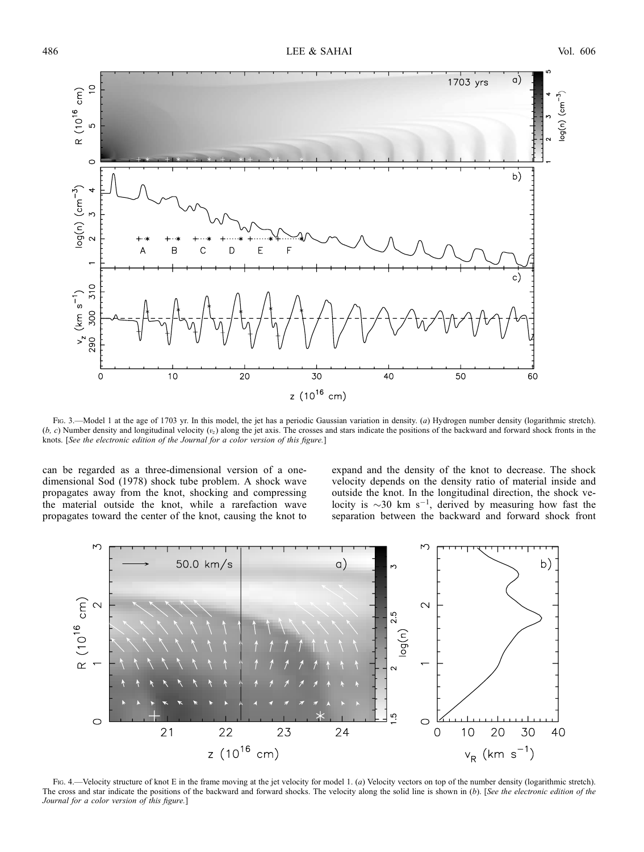

Fig. 3.—Model 1 at the age of 1703 yr. In this model, the jet has a periodic Gaussian variation in density. (a) Hydrogen number density (logarithmic stretch).  $(b, c)$  Number density and longitudinal velocity  $(v<sub>z</sub>)$  along the jet axis. The crosses and stars indicate the positions of the backward and forward shock fronts in the knots. [See the electronic edition of the Journal for a color version of this figure.]

can be regarded as a three-dimensional version of a onedimensional Sod (1978) shock tube problem. A shock wave propagates away from the knot, shocking and compressing the material outside the knot, while a rarefaction wave propagates toward the center of the knot, causing the knot to

expand and the density of the knot to decrease. The shock velocity depends on the density ratio of material inside and outside the knot. In the longitudinal direction, the shock velocity is  $\sim$ 30 km s<sup>-1</sup>, derived by measuring how fast the separation between the backward and forward shock front



Fig. 4.—Velocity structure of knot E in the frame moving at the jet velocity for model 1. (a) Velocity vectors on top of the number density (logarithmic stretch). The cross and star indicate the positions of the backward and forward shocks. The velocity along the solid line is shown in  $(b)$ . [See the electronic edition of the Journal for a color version of this figure.]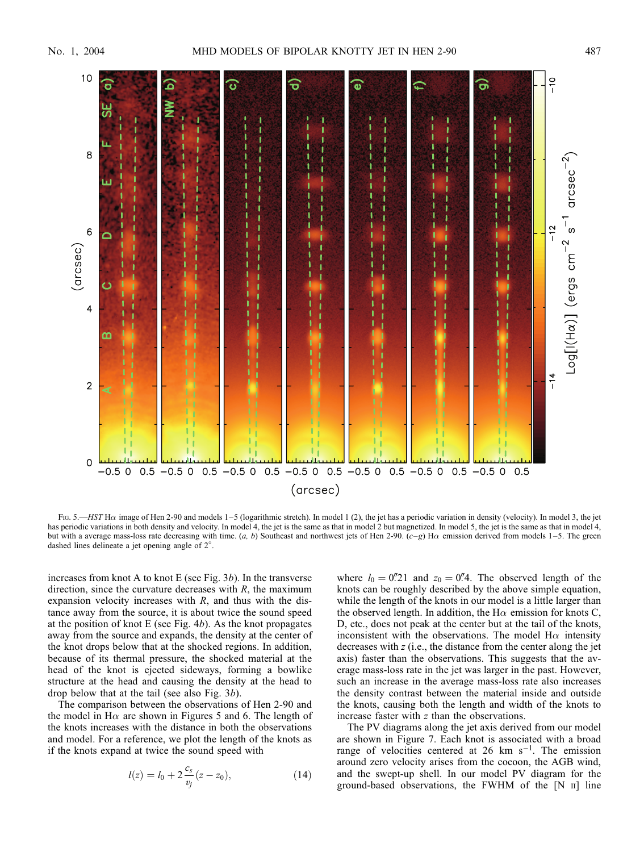

Fig. 5.—HST H $\alpha$  image of Hen 2-90 and models 1–5 (logarithmic stretch). In model 1 (2), the jet has a periodic variation in density (velocity). In model 3, the jet has periodic variations in both density and velocity. In model 4, the jet is the same as that in model 2 but magnetized. In model 5, the jet is the same as that in model 4, but with a average mass-loss rate decreasing with time. (a, b) Southeast and northwest jets of Hen 2-90.  $(c-g)$  H $\alpha$  emission derived from models 1–5. The green dashed lines delineate a jet opening angle of 2°.

increases from knot A to knot E (see Fig.  $3b$ ). In the transverse direction, since the curvature decreases with  $R$ , the maximum expansion velocity increases with  $R$ , and thus with the distance away from the source, it is about twice the sound speed at the position of knot E (see Fig.  $4b$ ). As the knot propagates away from the source and expands, the density at the center of the knot drops below that at the shocked regions. In addition, because of its thermal pressure, the shocked material at the head of the knot is ejected sideways, forming a bowlike structure at the head and causing the density at the head to drop below that at the tail (see also Fig. 3b).

The comparison between the observations of Hen 2-90 and the model in H $\alpha$  are shown in Figures 5 and 6. The length of the knots increases with the distance in both the observations and model. For a reference, we plot the length of the knots as if the knots expand at twice the sound speed with

$$
l(z) = l_0 + 2\frac{c_s}{v_j}(z - z_0),
$$
\n(14)

where  $l_0 = 0\rlap{.}^{\prime\prime}\,21$  and  $z_0 = 0\rlap{.}^{\prime\prime}\,4$ . The observed length of the knots can be roughly described by the above simple equation, while the length of the knots in our model is a little larger than the observed length. In addition, the H $\alpha$  emission for knots C, D, etc., does not peak at the center but at the tail of the knots, inconsistent with the observations. The model  $H\alpha$  intensity decreases with z (i.e., the distance from the center along the jet axis) faster than the observations. This suggests that the average mass-loss rate in the jet was larger in the past. However, such an increase in the average mass-loss rate also increases the density contrast between the material inside and outside the knots, causing both the length and width of the knots to increase faster with z than the observations.

The PV diagrams along the jet axis derived from our model are shown in Figure 7. Each knot is associated with a broad range of velocities centered at 26 km  $s^{-1}$ . The emission around zero velocity arises from the cocoon, the AGB wind, and the swept-up shell. In our model PV diagram for the ground-based observations, the FWHM of the  $[N \text{ } n]$  line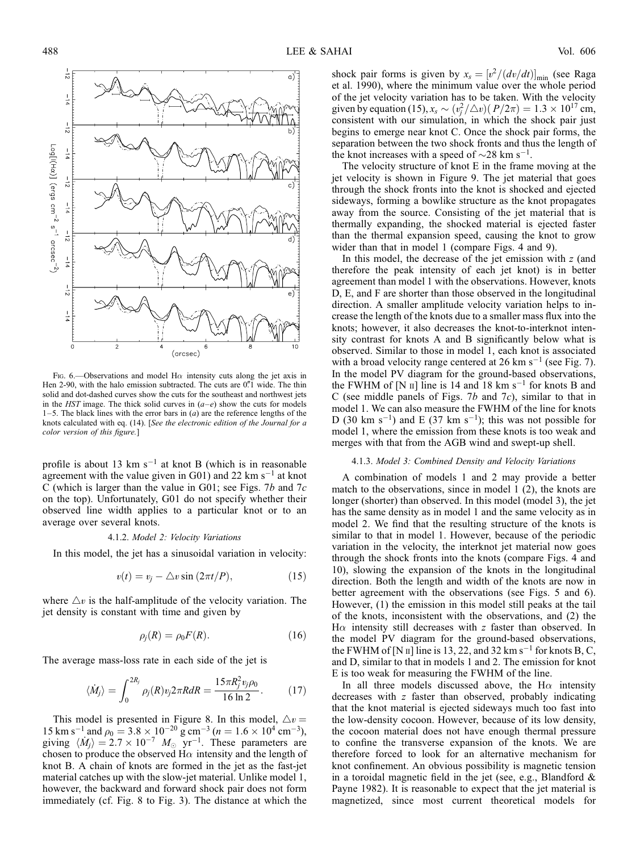

Fig. 6.—Observations and model H $\alpha$  intensity cuts along the jet axis in Hen 2-90, with the halo emission subtracted. The cuts are 0.<sup>"</sup>I wide. The thin solid and dot-dashed curves show the cuts for the southeast and northwest jets in the HST image. The thick solid curves in  $(a-e)$  show the cuts for models 1–5. The black lines with the error bars in  $(a)$  are the reference lengths of the knots calculated with eq. (14). [See the electronic edition of the Journal for a color version of this figure.]

profile is about 13 km  $s^{-1}$  at knot B (which is in reasonable agreement with the value given in G01) and 22 km  $s^{-1}$  at knot C (which is larger than the value in G01; see Figs. 7b and  $7c$ on the top). Unfortunately, G01 do not specify whether their observed line width applies to a particular knot or to an average over several knots.

## 4.1.2. Model 2: Velocity Variations

In this model, the jet has a sinusoidal variation in velocity:

$$
v(t) = v_j - \triangle v \sin(2\pi t/P), \qquad (15)
$$

where  $\Delta v$  is the half-amplitude of the velocity variation. The jet density is constant with time and given by

$$
\rho_j(R) = \rho_0 F(R). \tag{16}
$$

The average mass-loss rate in each side of the jet is

$$
\langle \dot{M}_j \rangle = \int_0^{2R_j} \rho_j(R) v_j 2\pi R dR = \frac{15\pi R_j^2 v_j \rho_0}{16 \ln 2}.
$$
 (17)

This model is presented in Figure 8. In this model,  $\triangle v =$ 15 km s<sup>-1</sup> and  $\rho_0 = 3.8 \times 10^{-20}$  g cm<sup>-3</sup> (n = 1.6  $\times$  10<sup>4</sup> cm<sup>-3</sup>), giving  $\langle \dot{M}_j \rangle = 2.7 \times 10^{-7}$   $M_\odot$  yr<sup>-1</sup>. These parameters are chosen to produce the observed H $\alpha$  intensity and the length of knot B. A chain of knots are formed in the jet as the fast-jet material catches up with the slow-jet material. Unlike model 1, however, the backward and forward shock pair does not form immediately (cf. Fig. 8 to Fig. 3). The distance at which the

shock pair forms is given by  $x_s = [v^2/(dv/dt)]_{\text{min}}$  (see Raga et al. 1990), where the minimum value over the whole period of the jet velocity variation has to be taken. With the velocity given by equation (15),  $x_s \sim (v_j^2/\triangle v)(P/2\pi) = 1.3 \times 10^{17}$  cm, consistent with our simulation, in which the shock pair just begins to emerge near knot C. Once the shock pair forms, the separation between the two shock fronts and thus the length of the knot increases with a speed of  $\sim$ 28 km s<sup>-1</sup>.

The velocity structure of knot E in the frame moving at the jet velocity is shown in Figure 9. The jet material that goes through the shock fronts into the knot is shocked and ejected sideways, forming a bowlike structure as the knot propagates away from the source. Consisting of the jet material that is thermally expanding, the shocked material is ejected faster than the thermal expansion speed, causing the knot to grow wider than that in model 1 (compare Figs. 4 and 9).

In this model, the decrease of the jet emission with  $z$  (and therefore the peak intensity of each jet knot) is in better agreement than model 1 with the observations. However, knots D, E, and F are shorter than those observed in the longitudinal direction. A smaller amplitude velocity variation helps to increase the length of the knots due to a smaller mass flux into the knots; however, it also decreases the knot-to-interknot intensity contrast for knots A and B significantly below what is observed. Similar to those in model 1, each knot is associated with a broad velocity range centered at 26 km  $s^{-1}$  (see Fig. 7). In the model PV diagram for the ground-based observations, the FWHM of [N  $\text{II}$ ] line is 14 and 18 km s<sup>-1</sup> for knots B and C (see middle panels of Figs.  $7b$  and  $7c$ ), similar to that in model 1. We can also measure the FWHM of the line for knots D (30 km s<sup>-1</sup>) and E (37 km s<sup>-1</sup>); this was not possible for model 1, where the emission from these knots is too weak and merges with that from the AGB wind and swept-up shell.

### 4.1.3. Model 3: Combined Density and Velocity Variations

A combination of models 1 and 2 may provide a better match to the observations, since in model 1 (2), the knots are longer (shorter) than observed. In this model (model 3), the jet has the same density as in model 1 and the same velocity as in model 2. We find that the resulting structure of the knots is similar to that in model 1. However, because of the periodic variation in the velocity, the interknot jet material now goes through the shock fronts into the knots (compare Figs. 4 and 10), slowing the expansion of the knots in the longitudinal direction. Both the length and width of the knots are now in better agreement with the observations (see Figs. 5 and 6). However, (1) the emission in this model still peaks at the tail of the knots, inconsistent with the observations, and (2) the  $H\alpha$  intensity still decreases with z faster than observed. In the model PV diagram for the ground-based observations, the FWHM of [N  $\text{II}$ ] line is 13, 22, and 32 km s<sup>-1</sup> for knots B, C, and D, similar to that in models 1 and 2. The emission for knot E is too weak for measuring the FWHM of the line.

In all three models discussed above, the H $\alpha$  intensity decreases with z faster than observed, probably indicating that the knot material is ejected sideways much too fast into the low-density cocoon. However, because of its low density, the cocoon material does not have enough thermal pressure to confine the transverse expansion of the knots. We are therefore forced to look for an alternative mechanism for knot confinement. An obvious possibility is magnetic tension in a toroidal magnetic field in the jet (see, e.g., Blandford & Payne 1982). It is reasonable to expect that the jet material is magnetized, since most current theoretical models for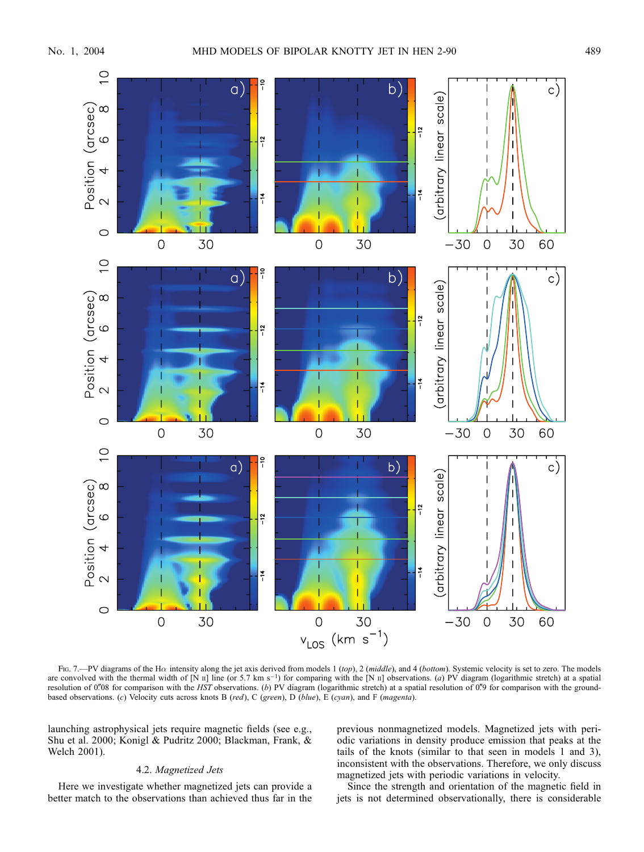

FIG. 7.—PV diagrams of the Ha intensity along the jet axis derived from models 1 (top), 2 (middle), and 4 (bottom). Systemic velocity is set to zero. The models are convolved with the thermal width of [N  $\text{II}$ ] line (or 5.7 km s<sup>-1</sup>) for comparing with the [N  $\text{II}$ ] observations. (a) PV diagram (logarithmic stretch) at a spatial resolution of 0.08 for comparison with the HST observations. (b) PV diagram (logarithmic stretch) at a spatial resolution of 0.9 for comparison with the groundbased observations. (c) Velocity cuts across knots B (red), C (green), D (blue), E (cyan), and F (magenta).

launching astrophysical jets require magnetic fields (see e.g., Shu et al. 2000; Konigl & Pudritz 2000; Blackman, Frank, & Welch 2001).

# 4.2. Magnetized Jets

Here we investigate whether magnetized jets can provide a better match to the observations than achieved thus far in the previous nonmagnetized models. Magnetized jets with periodic variations in density produce emission that peaks at the tails of the knots (similar to that seen in models 1 and 3), inconsistent with the observations. Therefore, we only discuss magnetized jets with periodic variations in velocity.

Since the strength and orientation of the magnetic field in jets is not determined observationally, there is considerable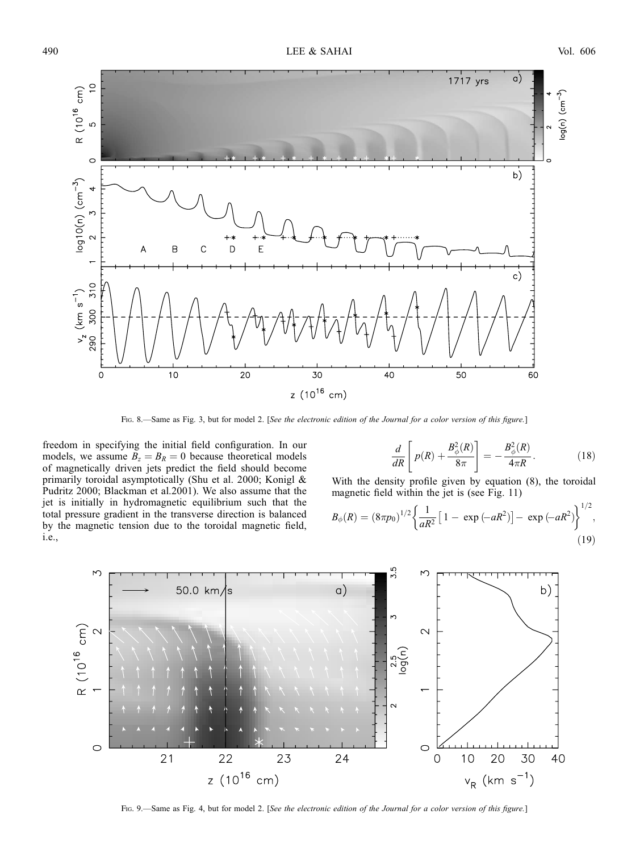

Fig. 8.—Same as Fig. 3, but for model 2. [See the electronic edition of the Journal for a color version of this figure.]

freedom in specifying the initial field configuration. In our models, we assume  $B_z = B_R = 0$  because theoretical models of magnetically driven jets predict the field should become primarily toroidal asymptotically (Shu et al. 2000; Konigl & Pudritz 2000; Blackman et al.2001). We also assume that the jet is initially in hydromagnetic equilibrium such that the total pressure gradient in the transverse direction is balanced by the magnetic tension due to the toroidal magnetic field, i.e.,

$$
\frac{d}{dR}\left[p(R) + \frac{B_{\phi}^{2}(R)}{8\pi}\right] = -\frac{B_{\phi}^{2}(R)}{4\pi R}.
$$
\n(18)

With the density profile given by equation (8), the toroidal magnetic field within the jet is (see Fig. 11)

$$
B_{\phi}(R) = (8\pi p_0)^{1/2} \left\{ \frac{1}{aR^2} \left[ 1 - \exp(-aR^2) \right] - \exp(-aR^2) \right\}^{1/2},
$$
\n(19)



Fig. 9.—Same as Fig. 4, but for model 2. [See the electronic edition of the Journal for a color version of this figure.]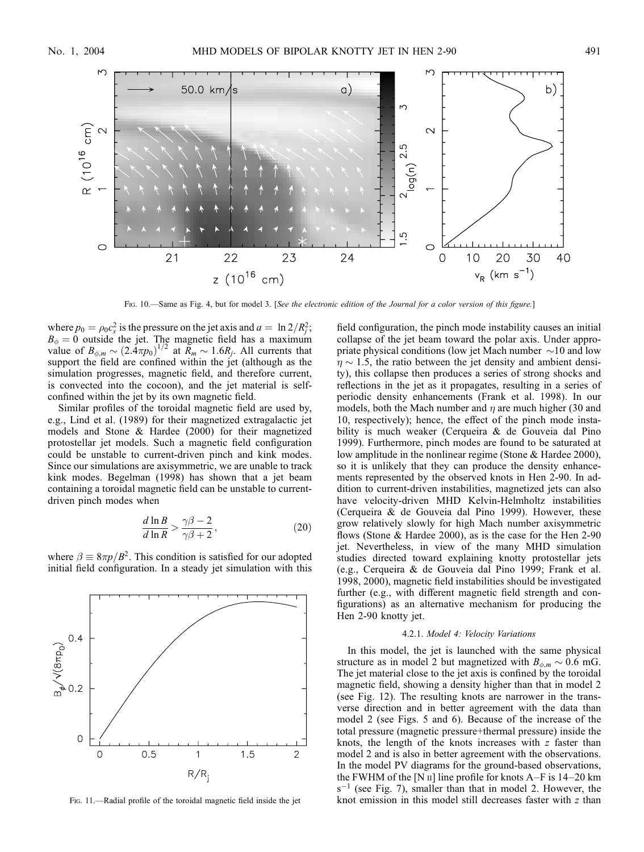

Fig. 10.—Same as Fig. 4, but for model 3. [See the electronic edition of the Journal for a color version of this figure.]

where  $p_0 = \rho_0 c_s^2$  is the pressure on the jet axis and  $a = \ln 2/R_j^2$ ;  $B_{\phi} = 0$  outside the jet. The magnetic field has a maximum value of  $B_{\phi,m} \sim (2.4\pi p_0)^{1/2}$  at  $\widetilde{R}_m \sim 1.6R_j$ . All currents that support the field are confined within the jet (although as the simulation progresses, magnetic field, and therefore current, is convected into the cocoon), and the jet material is selfconfined within the jet by its own magnetic field.

Similar profiles of the toroidal magnetic field are used by, e.g., Lind et al. (1989) for their magnetized extragalactic jet models and Stone & Hardee (2000) for their magnetized protostellar jet models. Such a magnetic field configuration could be unstable to current-driven pinch and kink modes. Since our simulations are axisymmetric, we are unable to track kink modes. Begelman (1998) has shown that a jet beam containing a toroidal magnetic field can be unstable to currentdriven pinch modes when

$$
\frac{d\ln B}{d\ln R} > \frac{\gamma\beta - 2}{\gamma\beta + 2},\tag{20}
$$

where  $\beta \equiv 8\pi p/B^2$ . This condition is satisfied for our adopted initial field configuration. In a steady jet simulation with this



Fig. 11.—Radial profile of the toroidal magnetic field inside the jet

field configuration, the pinch mode instability causes an initial collapse of the jet beam toward the polar axis. Under appropriate physical conditions (low jet Mach number  $\sim$ 10 and low  $\eta \sim 1.5$ , the ratio between the jet density and ambient density), this collapse then produces a series of strong shocks and reflections in the jet as it propagates, resulting in a series of periodic density enhancements (Frank et al. 1998). In our models, both the Mach number and  $\eta$  are much higher (30 and 10, respectively); hence, the effect of the pinch mode instability is much weaker (Cerqueira & de Gouveia dal Pino 1999). Furthermore, pinch modes are found to be saturated at low amplitude in the nonlinear regime (Stone & Hardee 2000), so it is unlikely that they can produce the density enhancements represented by the observed knots in Hen 2-90. In addition to current-driven instabilities, magnetized jets can also have velocity-driven MHD Kelvin-Helmholtz instabilities (Cerqueira & de Gouveia dal Pino 1999). However, these grow relatively slowly for high Mach number axisymmetric flows (Stone & Hardee 2000), as is the case for the Hen 2-90 jet. Nevertheless, in view of the many MHD simulation studies directed toward explaining knotty protostellar jets (e.g., Cerqueira & de Gouveia dal Pino 1999; Frank et al. 1998, 2000), magnetic field instabilities should be investigated further (e.g., with different magnetic field strength and configurations) as an alternative mechanism for producing the Hen 2-90 knotty jet.

## 4.2.1. Model 4: Velocity Variations

In this model, the jet is launched with the same physical structure as in model 2 but magnetized with  $B_{\phi,m} \sim 0.6$  mG. The jet material close to the jet axis is confined by the toroidal magnetic field, showing a density higher than that in model 2 (see Fig. 12). The resulting knots are narrower in the transverse direction and in better agreement with the data than model 2 (see Figs. 5 and 6). Because of the increase of the total pressure (magnetic pressure+thermal pressure) inside the knots, the length of the knots increases with  $z$  faster than model 2 and is also in better agreement with the observations. In the model PV diagrams for the ground-based observations, the FWHM of the [N  $\text{II}$ ] line profile for knots A–F is 14–20 km  $s^{-1}$  (see Fig. 7), smaller than that in model 2. However, the knot emission in this model still decreases faster with z than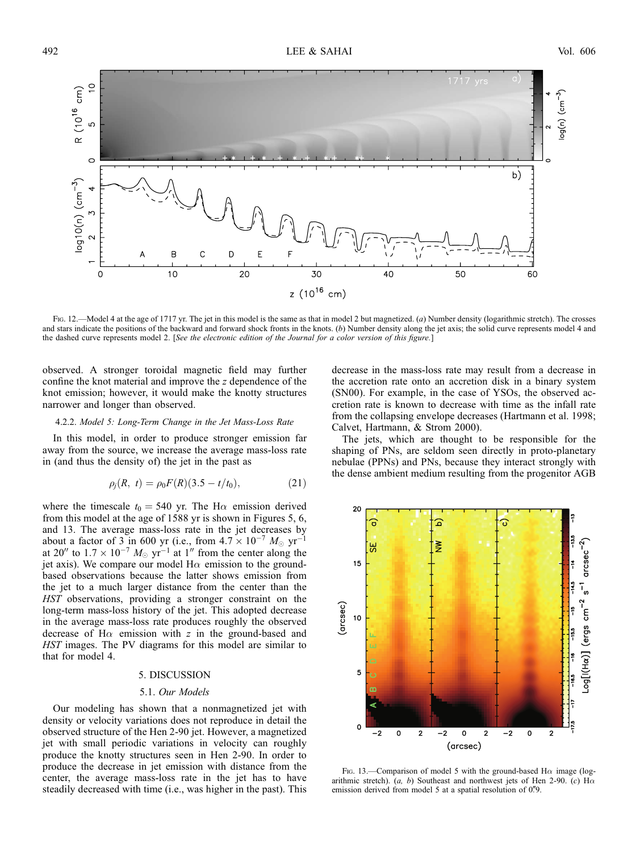

Fig. 12.—Model 4 at the age of 1717 yr. The jet in this model is the same as that in model 2 but magnetized. (a) Number density (logarithmic stretch). The crosses and stars indicate the positions of the backward and forward shock fronts in the knots. (b) Number density along the jet axis; the solid curve represents model 4 and the dashed curve represents model 2. [See the electronic edition of the Journal for a color version of this figure.]

observed. A stronger toroidal magnetic field may further confine the knot material and improve the z dependence of the knot emission; however, it would make the knotty structures narrower and longer than observed.

#### 4.2.2. Model 5: Long-Term Change in the Jet Mass-Loss Rate

In this model, in order to produce stronger emission far away from the source, we increase the average mass-loss rate in (and thus the density of) the jet in the past as

$$
\rho_j(R, t) = \rho_0 F(R)(3.5 - t/t_0), \tag{21}
$$

where the timescale  $t_0 = 540$  yr. The H $\alpha$  emission derived from this model at the age of 1588 yr is shown in Figures 5, 6, and 13. The average mass-loss rate in the jet decreases by about a factor of 3 in 600 yr (i.e., from  $4.7 \times 10^{-7}$   $M_{\odot}$  yr<sup>-1</sup> at 20" to  $1.7 \times 10^{-7}$   $M_{\odot}$  yr<sup>-1</sup> at 1" from the center along the jet axis). We compare our model  $H\alpha$  emission to the groundbased observations because the latter shows emission from the jet to a much larger distance from the center than the HST observations, providing a stronger constraint on the long-term mass-loss history of the jet. This adopted decrease in the average mass-loss rate produces roughly the observed decrease of  $H\alpha$  emission with z in the ground-based and HST images. The PV diagrams for this model are similar to that for model 4.

#### 5. DISCUSSION

#### 5.1. Our Models

Our modeling has shown that a nonmagnetized jet with density or velocity variations does not reproduce in detail the observed structure of the Hen 2-90 jet. However, a magnetized jet with small periodic variations in velocity can roughly produce the knotty structures seen in Hen 2-90. In order to produce the decrease in jet emission with distance from the center, the average mass-loss rate in the jet has to have steadily decreased with time (i.e., was higher in the past). This decrease in the mass-loss rate may result from a decrease in the accretion rate onto an accretion disk in a binary system (SN00). For example, in the case of YSOs, the observed accretion rate is known to decrease with time as the infall rate from the collapsing envelope decreases (Hartmann et al. 1998; Calvet, Hartmann, & Strom 2000).

The jets, which are thought to be responsible for the shaping of PNs, are seldom seen directly in proto-planetary nebulae (PPNs) and PNs, because they interact strongly with the dense ambient medium resulting from the progenitor AGB



Fig. 13.—Comparison of model 5 with the ground-based H $\alpha$  image (logarithmic stretch).  $(a, b)$  Southeast and northwest jets of Hen 2-90.  $(c)$  H $\alpha$ emission derived from model 5 at a spatial resolution of 0.79.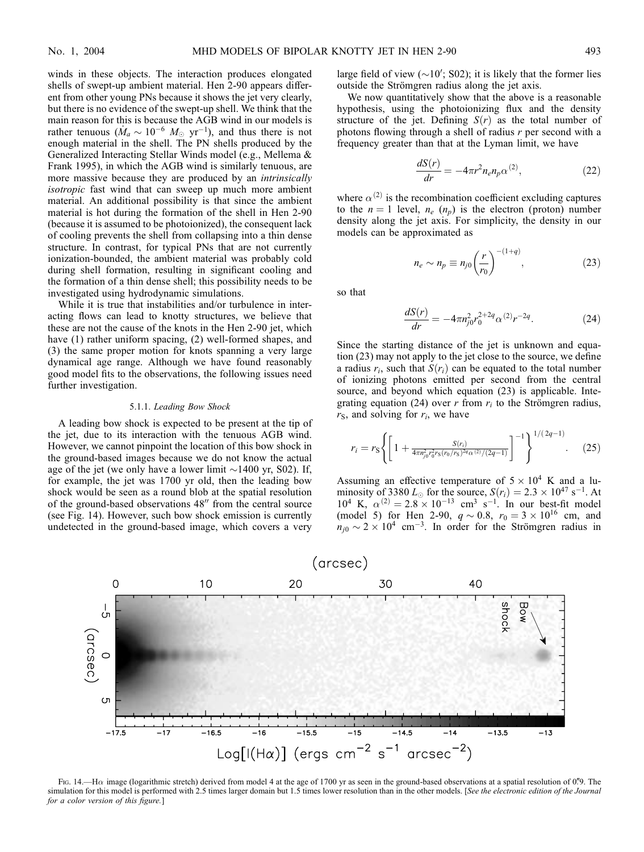winds in these objects. The interaction produces elongated shells of swept-up ambient material. Hen 2-90 appears different from other young PNs because it shows the jet very clearly, but there is no evidence of the swept-up shell. We think that the main reason for this is because the AGB wind in our models is rather tenuous ( $\dot{M}_a \sim 10^{-6}$   $M_\odot$  yr<sup>-1</sup>), and thus there is not enough material in the shell. The PN shells produced by the Generalized Interacting Stellar Winds model (e.g., Mellema & Frank 1995), in which the AGB wind is similarly tenuous, are more massive because they are produced by an *intrinsically* isotropic fast wind that can sweep up much more ambient material. An additional possibility is that since the ambient material is hot during the formation of the shell in Hen 2-90 (because it is assumed to be photoionized), the consequent lack of cooling prevents the shell from collapsing into a thin dense structure. In contrast, for typical PNs that are not currently ionization-bounded, the ambient material was probably cold during shell formation, resulting in significant cooling and the formation of a thin dense shell; this possibility needs to be investigated using hydrodynamic simulations.

While it is true that instabilities and/or turbulence in interacting flows can lead to knotty structures, we believe that these are not the cause of the knots in the Hen 2-90 jet, which have (1) rather uniform spacing, (2) well-formed shapes, and (3) the same proper motion for knots spanning a very large dynamical age range. Although we have found reasonably good model fits to the observations, the following issues need further investigation.

## 5.1.1. Leading Bow Shock

A leading bow shock is expected to be present at the tip of the jet, due to its interaction with the tenuous AGB wind. However, we cannot pinpoint the location of this bow shock in the ground-based images because we do not know the actual age of the jet (we only have a lower limit  $\sim$ 1400 yr, S02). If, for example, the jet was 1700 yr old, then the leading bow shock would be seen as a round blob at the spatial resolution of the ground-based observations  $48''$  from the central source (see Fig. 14). However, such bow shock emission is currently undetected in the ground-based image, which covers a very

large field of view  $(\sim 10'$ ; S02); it is likely that the former lies outside the Strömgren radius along the jet axis.

We now quantitatively show that the above is a reasonable hypothesis, using the photoionizing flux and the density structure of the jet. Defining  $S(r)$  as the total number of photons flowing through a shell of radius  $r$  per second with a frequency greater than that at the Lyman limit, we have

$$
\frac{dS(r)}{dr} = -4\pi r^2 n_e n_p \alpha^{(2)},\tag{22}
$$

where  $\alpha^{(2)}$  is the recombination coefficient excluding captures to the  $n = 1$  level,  $n_e$  ( $n_p$ ) is the electron (proton) number density along the jet axis. For simplicity, the density in our models can be approximated as

$$
n_e \sim n_p \equiv n_{j0} \left(\frac{r}{r_0}\right)^{-(1+q)},\tag{23}
$$

so that

$$
\frac{dS(r)}{dr} = -4\pi n_{j0}^2 r_0^{2+2q} \alpha^{(2)} r^{-2q}.
$$
 (24)

Since the starting distance of the jet is unknown and equation (23) may not apply to the jet close to the source, we define a radius  $r_i$ , such that  $S(r_i)$  can be equated to the total number of ionizing photons emitted per second from the central source, and beyond which equation (23) is applicable. Integrating equation (24) over r from  $r_i$  to the Strömgren radius,  $r<sub>S</sub>$ , and solving for  $r<sub>i</sub>$ , we have

$$
r_i = r_{\rm S} \left\{ \left[ 1 + \frac{S(r_i)}{4\pi n_{j0}^2 r_0^2 r_{\rm S}(r_0/r_{\rm S})^{2q} \alpha^{(2)}/(2q-1)} \right]^{-1} \right\}^{1/(2q-1)}.\tag{25}
$$

Assuming an effective temperature of  $5 \times 10^4$  K and a luminosity of 3380  $L_{\odot}$  for the source,  $S(r_i) = 2.3 \times 10^{47} \text{ s}^{-1}$ . At  $10^4$  K,  $\alpha^{(2)} = 2.8 \times 10^{-13}$  cm<sup>3</sup> s<sup>-1</sup>. In our best-fit model (model 5) for Hen 2-90,  $q \sim 0.8$ ,  $r_0 = 3 \times 10^{16}$  cm, and  $n_{j0} \sim 2 \times 10^4$  cm<sup>-3</sup>. In order for the Strömgren radius in



Fig. 14.—H $\alpha$  image (logarithmic stretch) derived from model 4 at the age of 1700 yr as seen in the ground-based observations at a spatial resolution of 0.79. The simulation for this model is performed with 2.5 times larger domain but 1.5 times lower resolution than in the other models. [See the electronic edition of the Journal for a color version of this figure.]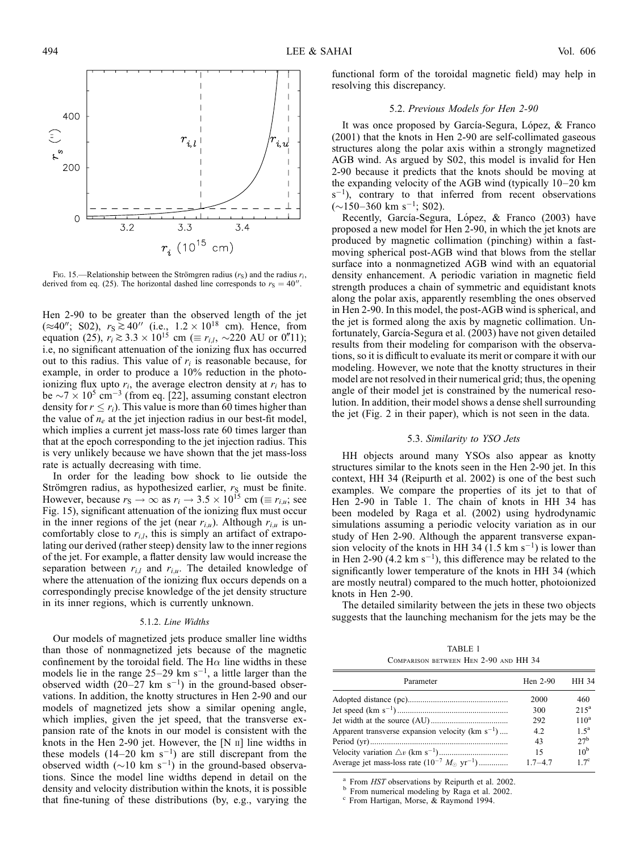

Fig. 15.—Relationship between the Strömgren radius  $(r<sub>S</sub>)$  and the radius  $r<sub>i</sub>$ , derived from eq. (25). The horizontal dashed line corresponds to  $r<sub>S</sub> = 40$ ".

Hen 2-90 to be greater than the observed length of the jet  $(\approx 40'';$  S02),  $r_s \ge 40''$  (i.e.,  $1.2 \times 10^{18}$  cm). Hence, from equation (25),  $r_i \ge 3.3 \times 10^{15}$  cm ( $\equiv r_{i,l}$ ,  $\sim$ 220 AU or 0.711); i.e, no significant attenuation of the ionizing flux has occurred out to this radius. This value of  $r_i$  is reasonable because, for example, in order to produce a 10% reduction in the photoionizing flux upto  $r_i$ , the average electron density at  $r_i$  has to be  $\sim$ 7  $\times$  10<sup>5</sup> cm<sup>-3</sup> (from eq. [22], assuming constant electron density for  $r \leq r_i$ ). This value is more than 60 times higher than the value of  $n_e$  at the jet injection radius in our best-fit model, which implies a current jet mass-loss rate 60 times larger than that at the epoch corresponding to the jet injection radius. This is very unlikely because we have shown that the jet mass-loss rate is actually decreasing with time.

In order for the leading bow shock to lie outside the Strömgren radius, as hypothesized earlier,  $r<sub>S</sub>$  must be finite. However, because  $r_S \to \infty$  as  $r_i \to 3.5 \times 10^{15}$  cm ( $\equiv r_{i,u}$ ; see Fig. 15), significant attenuation of the ionizing flux must occur in the inner regions of the jet (near  $r_{i,u}$ ). Although  $r_{i,u}$  is uncomfortably close to  $r_{i,l}$ , this is simply an artifact of extrapolating our derived (rather steep) density law to the inner regions of the jet. For example, a flatter density law would increase the separation between  $r_{i,l}$  and  $r_{i,u}$ . The detailed knowledge of where the attenuation of the ionizing flux occurs depends on a correspondingly precise knowledge of the jet density structure in its inner regions, which is currently unknown.

# 5.1.2. Line Widths

Our models of magnetized jets produce smaller line widths than those of nonmagnetized jets because of the magnetic confinement by the toroidal field. The H $\alpha$  line widths in these models lie in the range  $25-29$  km s<sup>-1</sup>, a little larger than the observed width  $(20-27 \text{ km s}^{-1})$  in the ground-based observations. In addition, the knotty structures in Hen 2-90 and our models of magnetized jets show a similar opening angle, which implies, given the jet speed, that the transverse expansion rate of the knots in our model is consistent with the knots in the Hen 2-90 jet. However, the  $[N]$   $\Pi$  line widths in these models  $(14-20 \text{ km s}^{-1})$  are still discrepant from the observed width  $(\sim 10 \text{ km s}^{-1})$  in the ground-based observations. Since the model line widths depend in detail on the density and velocity distribution within the knots, it is possible that fine-tuning of these distributions (by, e.g., varying the

functional form of the toroidal magnetic field) may help in resolving this discrepancy.

# 5.2. Previous Models for Hen 2-90

It was once proposed by García-Segura, López, & Franco (2001) that the knots in Hen 2-90 are self-collimated gaseous structures along the polar axis within a strongly magnetized AGB wind. As argued by S02, this model is invalid for Hen 2-90 because it predicts that the knots should be moving at the expanding velocity of the AGB wind (typically 10–20 km  $s^{-1}$ ), contrary to that inferred from recent observations  $(\sim 150-360 \text{ km s}^{-1}; S02).$ 

Recently, García-Segura, López, & Franco (2003) have proposed a new model for Hen 2-90, in which the jet knots are produced by magnetic collimation (pinching) within a fastmoving spherical post-AGB wind that blows from the stellar surface into a nonmagnetized AGB wind with an equatorial density enhancement. A periodic variation in magnetic field strength produces a chain of symmetric and equidistant knots along the polar axis, apparently resembling the ones observed in Hen 2-90. In this model, the post-AGB wind is spherical, and the jet is formed along the axis by magnetic collimation. Unfortunately, García-Segura et al. (2003) have not given detailed results from their modeling for comparison with the observations, so it is difficult to evaluate its merit or compare it with our modeling. However, we note that the knotty structures in their model are not resolved in their numerical grid; thus, the opening angle of their model jet is constrained by the numerical resolution. In addition, their model shows a dense shell surrounding the jet (Fig. 2 in their paper), which is not seen in the data.

### 5.3. Similarity to YSO Jets

HH objects around many YSOs also appear as knotty structures similar to the knots seen in the Hen 2-90 jet. In this context, HH 34 (Reipurth et al. 2002) is one of the best such examples. We compare the properties of its jet to that of Hen 2-90 in Table 1. The chain of knots in HH 34 has been modeled by Raga et al. (2002) using hydrodynamic simulations assuming a periodic velocity variation as in our study of Hen 2-90. Although the apparent transverse expansion velocity of the knots in HH 34 (1.5 km  $s^{-1}$ ) is lower than in Hen 2-90 (4.2 km  $s^{-1}$ ), this difference may be related to the significantly lower temperature of the knots in HH 34 (which are mostly neutral) compared to the much hotter, photoionized knots in Hen 2-90.

The detailed similarity between the jets in these two objects suggests that the launching mechanism for the jets may be the

TABLE 1 Comparison between Hen 2-90 and HH 34

| Parameter                                                         | Hen $2-90$  | HH 34              |
|-------------------------------------------------------------------|-------------|--------------------|
|                                                                   | 2000        | 460                |
|                                                                   | 300         | $215^a$            |
|                                                                   | 292         | 110 <sup>a</sup>   |
| Apparent transverse expansion velocity ( $\rm km \ s^{-1}) \dots$ | 4.2         | $1.5^{\mathrm{a}}$ |
|                                                                   | 43          | 27 <sup>b</sup>    |
|                                                                   | 15          | 10 <sup>b</sup>    |
| Average jet mass-loss rate $(10^{-7} M_{\odot} \text{ yr}^{-1})$  | $1.7 - 4.7$ | $17^{\circ}$       |

<sup>a</sup> From HST observations by Reipurth et al. 2002.<br><sup>b</sup> From numerical modeling by Raga et al. 2002. <sup>c</sup> From Hartigan, Morse, & Raymond 1994.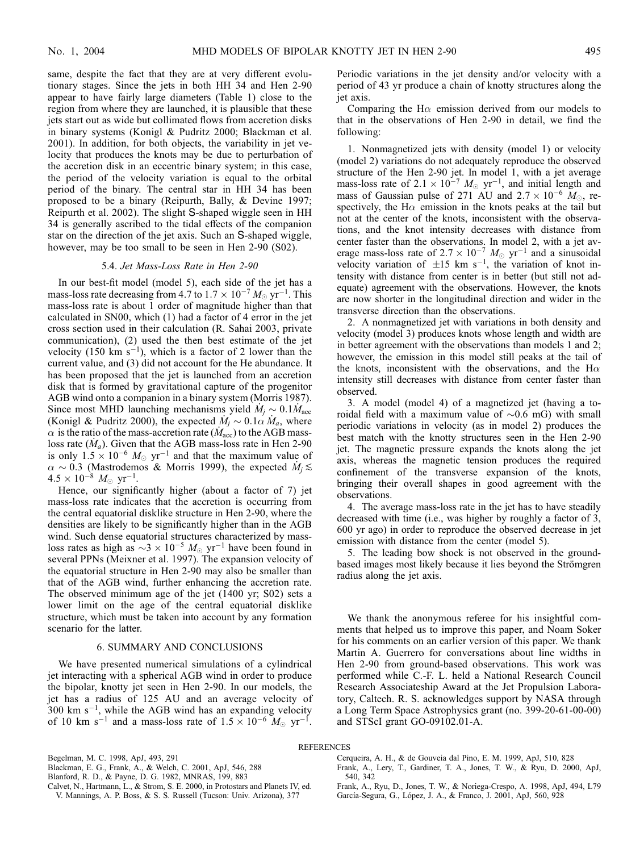same, despite the fact that they are at very different evolutionary stages. Since the jets in both HH 34 and Hen 2-90 appear to have fairly large diameters (Table 1) close to the region from where they are launched, it is plausible that these jets start out as wide but collimated flows from accretion disks in binary systems (Konigl & Pudritz 2000; Blackman et al. 2001). In addition, for both objects, the variability in jet velocity that produces the knots may be due to perturbation of the accretion disk in an eccentric binary system; in this case, the period of the velocity variation is equal to the orbital period of the binary. The central star in HH 34 has been proposed to be a binary (Reipurth, Bally, & Devine 1997; Reipurth et al. 2002). The slight S-shaped wiggle seen in HH 34 is generally ascribed to the tidal effects of the companion star on the direction of the jet axis. Such an S-shaped wiggle, however, may be too small to be seen in Hen 2-90 (S02).

## 5.4. Jet Mass-Loss Rate in Hen 2-90

In our best-fit model (model 5), each side of the jet has a mass-loss rate decreasing from 4.7 to  $1.7 \times 10^{-7} M_{\odot} \text{ yr}^{-1}$ . This mass-loss rate is about 1 order of magnitude higher than that calculated in SN00, which (1) had a factor of 4 error in the jet cross section used in their calculation (R. Sahai 2003, private communication), (2) used the then best estimate of the jet velocity (150 km  $s^{-1}$ ), which is a factor of 2 lower than the current value, and (3) did not account for the He abundance. It has been proposed that the jet is launched from an accretion disk that is formed by gravitational capture of the progenitor AGB wind onto a companion in a binary system (Morris 1987). Since most MHD launching mechanisms yield  $\dot{M}_j \sim 0.1 \dot{M}_{\text{acc}}$ (Konigl & Pudritz 2000), the expected  $\dot{M}_i \sim 0.1 \alpha \dot{M}_a$ , where  $\alpha$  is the ratio of the mass-accretion rate ( $M_{\rm acc}$ ) to the AGB massloss rate  $(M_a)$ . Given that the AGB mass-loss rate in Hen 2-90 is only  $1.5 \times 10^{-6}$   $M_{\odot}$  yr<sup>-1</sup> and that the maximum value of  $\alpha \sim 0.3$  (Mastrodemos & Morris 1999), the expected  $\dot{M}_i \lesssim$  $4.5 \times 10^{-8}$   $M_{\odot}$  yr<sup>-1</sup>.

Hence, our significantly higher (about a factor of 7) jet mass-loss rate indicates that the accretion is occurring from the central equatorial disklike structure in Hen 2-90, where the densities are likely to be significantly higher than in the AGB wind. Such dense equatorial structures characterized by massloss rates as high as  $\sim$ 3  $\times$  10<sup>-5</sup>  $M_{\odot}$  yr<sup>-1</sup> have been found in several PPNs (Meixner et al. 1997). The expansion velocity of the equatorial structure in Hen 2-90 may also be smaller than that of the AGB wind, further enhancing the accretion rate. The observed minimum age of the jet (1400 yr; S02) sets a lower limit on the age of the central equatorial disklike structure, which must be taken into account by any formation scenario for the latter.

# 6. SUMMARY AND CONCLUSIONS

We have presented numerical simulations of a cylindrical jet interacting with a spherical AGB wind in order to produce the bipolar, knotty jet seen in Hen 2-90. In our models, the jet has a radius of 125 AU and an average velocity of 300 km  $s^{-1}$ , while the AGB wind has an expanding velocity of 10 km s<sup>-1</sup> and a mass-loss rate of  $1.5 \times 10^{-6}$   $M_{\odot}$  yr<sup>-1</sup>.

Periodic variations in the jet density and/or velocity with a period of 43 yr produce a chain of knotty structures along the jet axis.

Comparing the H $\alpha$  emission derived from our models to that in the observations of Hen 2-90 in detail, we find the following:

1. Nonmagnetized jets with density (model 1) or velocity (model 2) variations do not adequately reproduce the observed structure of the Hen 2-90 jet. In model 1, with a jet average mass-loss rate of  $2.1 \times 10^{-7}$   $M_{\odot}$  yr<sup>-1</sup>, and initial length and mass of Gaussian pulse of 271 AU and  $2.7 \times 10^{-6}$  M<sub>o</sub>, respectively, the H $\alpha$  emission in the knots peaks at the tail but not at the center of the knots, inconsistent with the observations, and the knot intensity decreases with distance from center faster than the observations. In model 2, with a jet average mass-loss rate of  $2.7 \times 10^{-7}$   $M_{\odot}$  yr<sup>-1</sup> and a sinusoidal velocity variation of  $\pm 15$  km s<sup>-1</sup>, the variation of knot intensity with distance from center is in better (but still not adequate) agreement with the observations. However, the knots are now shorter in the longitudinal direction and wider in the transverse direction than the observations.

2. A nonmagnetized jet with variations in both density and velocity (model 3) produces knots whose length and width are in better agreement with the observations than models 1 and 2; however, the emission in this model still peaks at the tail of the knots, inconsistent with the observations, and the H $\alpha$ intensity still decreases with distance from center faster than observed.

3. A model (model 4) of a magnetized jet (having a toroidal field with a maximum value of  $\sim 0.6$  mG) with small periodic variations in velocity (as in model 2) produces the best match with the knotty structures seen in the Hen 2-90 jet. The magnetic pressure expands the knots along the jet axis, whereas the magnetic tension produces the required confinement of the transverse expansion of the knots, bringing their overall shapes in good agreement with the observations.

4. The average mass-loss rate in the jet has to have steadily decreased with time (i.e., was higher by roughly a factor of 3, 600 yr ago) in order to reproduce the observed decrease in jet emission with distance from the center (model 5).

5. The leading bow shock is not observed in the groundbased images most likely because it lies beyond the Strömgren radius along the jet axis.

We thank the anonymous referee for his insightful comments that helped us to improve this paper, and Noam Soker for his comments on an earlier version of this paper. We thank Martin A. Guerrero for conversations about line widths in Hen 2-90 from ground-based observations. This work was performed while C.-F. L. held a National Research Council Research Associateship Award at the Jet Propulsion Laboratory, Caltech. R. S. acknowledges support by NASA through a Long Term Space Astrophysics grant (no. 399-20-61-00-00) and STScI grant GO-09102.01-A.

## REFERENCES

- Calvet, N., Hartmann, L., & Strom, S. E. 2000, in Protostars and Planets IV, ed. V. Mannings, A. P. Boss, & S. S. Russell (Tucson: Univ. Arizona), 377
- Cerqueira, A. H., & de Gouveia dal Pino, E. M. 1999, ApJ, 510, 828 Frank, A., Lery, T., Gardiner, T. A., Jones, T. W., & Ryu, D. 2000, ApJ, 540, 342
- Frank, A., Ryu, D., Jones, T. W., & Noriega-Crespo, A. 1998, ApJ, 494, L79 García-Segura, G., López, J. A., & Franco, J. 2001, ApJ, 560, 928

Begelman, M. C. 1998, ApJ, 493, 291

Blackman, E. G., Frank, A., & Welch, C. 2001, ApJ, 546, 288

Blanford, R. D., & Payne, D. G. 1982, MNRAS, 199, 883